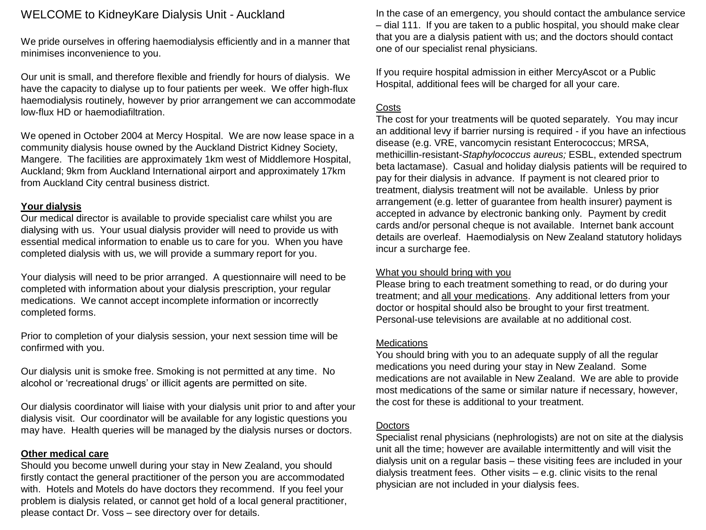# WELCOME to KidneyKare Dialysis Unit - Auckland

We pride ourselves in offering haemodialysis efficiently and in a manner that minimises inconvenience to you.

Our unit is small, and therefore flexible and friendly for hours of dialysis. We have the capacity to dialyse up to four patients per week. We offer high-flux haemodialysis routinely, however by prior arrangement we can accommodate low-flux HD or haemodiafiltration.

We opened in October 2004 at Mercy Hospital. We are now lease space in a community dialysis house owned by the Auckland District Kidney Society, Mangere. The facilities are approximately 1km west of Middlemore Hospital, Auckland; 9km from Auckland International airport and approximately 17km from Auckland City central business district.

#### **Your dialysis**

Our medical director is available to provide specialist care whilst you are dialysing with us. Your usual dialysis provider will need to provide us with essential medical information to enable us to care for you. When you have completed dialysis with us, we will provide a summary report for you.

Your dialysis will need to be prior arranged. A questionnaire will need to be completed with information about your dialysis prescription, your regular medications. We cannot accept incomplete information or incorrectly completed forms.

Prior to completion of your dialysis session, your next session time will be confirmed with you.

Our dialysis unit is smoke free. Smoking is not permitted at any time. No alcohol or 'recreational drugs' or illicit agents are permitted on site.

Our dialysis coordinator will liaise with your dialysis unit prior to and after your dialysis visit. Our coordinator will be available for any logistic questions you may have. Health queries will be managed by the dialysis nurses or doctors.

### **Other medical care**

Should you become unwell during your stay in New Zealand, you should firstly contact the general practitioner of the person you are accommodated with. Hotels and Motels do have doctors they recommend. If you feel your problem is dialysis related, or cannot get hold of a local general practitioner, please contact Dr. Voss – see directory over for details.

In the case of an emergency, you should contact the ambulance service – dial 111. If you are taken to a public hospital, you should make clear that you are a dialysis patient with us; and the doctors should contact one of our specialist renal physicians.

If you require hospital admission in either MercyAscot or a Public Hospital, additional fees will be charged for all your care.

#### Costs

The cost for your treatments will be quoted separately. You may incur an additional levy if barrier nursing is required - if you have an infectious disease (e.g. VRE, vancomycin resistant Enterococcus; MRSA, methicillin-resistant-*Staphylococcus aureus;* ESBL, extended spectrum beta lactamase). Casual and holiday dialysis patients will be required to pay for their dialysis in advance. If payment is not cleared prior to treatment, dialysis treatment will not be available. Unless by prior arrangement (e.g. letter of guarantee from health insurer) payment is accepted in advance by electronic banking only. Payment by credit cards and/or personal cheque is not available. Internet bank account details are overleaf. Haemodialysis on New Zealand statutory holidays incur a surcharge fee.

### What you should bring with you

Please bring to each treatment something to read, or do during your treatment; and all your medications. Any additional letters from your doctor or hospital should also be brought to your first treatment. Personal-use televisions are available at no additional cost.

#### **Medications**

You should bring with you to an adequate supply of all the regular medications you need during your stay in New Zealand. Some medications are not available in New Zealand. We are able to provide most medications of the same or similar nature if necessary, however, the cost for these is additional to your treatment.

#### **Doctors**

Specialist renal physicians (nephrologists) are not on site at the dialysis unit all the time; however are available intermittently and will visit the dialysis unit on a regular basis – these visiting fees are included in your dialysis treatment fees. Other visits – e.g. clinic visits to the renal physician are not included in your dialysis fees.